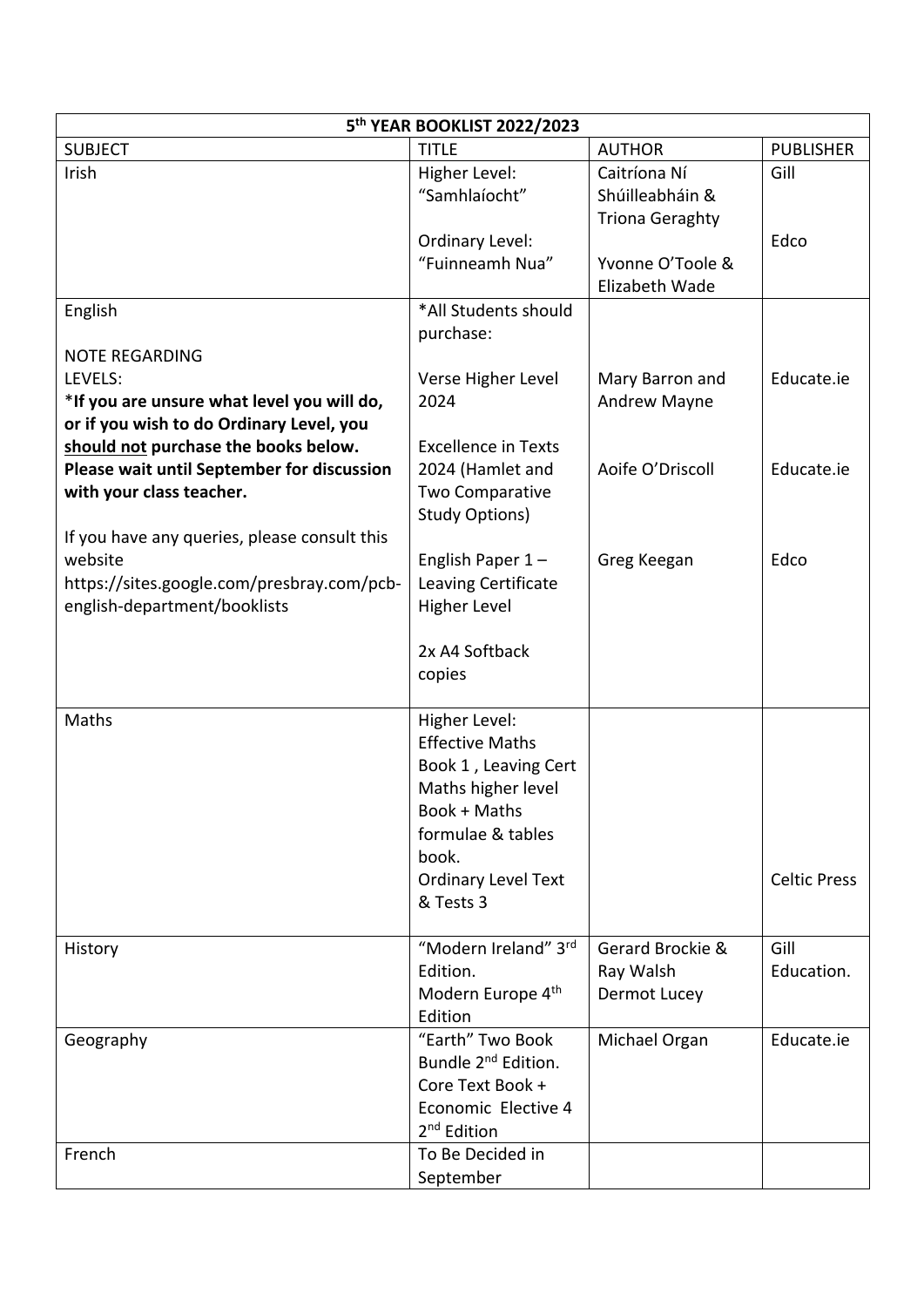| <b>TITLE</b><br><b>SUBJECT</b><br><b>AUTHOR</b><br><b>PUBLISHER</b><br>Irish<br>Caitríona Ní<br>Higher Level:<br>Gill<br>"Samhlaíocht"<br>Shúilleabháin &<br><b>Triona Geraghty</b><br>Ordinary Level:<br>Edco<br>"Fuinneamh Nua"<br>Yvonne O'Toole &<br>Elizabeth Wade<br>English<br>*All Students should<br>purchase:<br><b>NOTE REGARDING</b><br>LEVELS:<br>Educate.ie<br>Verse Higher Level<br>Mary Barron and<br>*If you are unsure what level you will do,<br>2024<br>Andrew Mayne<br>or if you wish to do Ordinary Level, you<br>should not purchase the books below.<br><b>Excellence in Texts</b><br>Please wait until September for discussion<br>Aoife O'Driscoll<br>Educate.ie<br>2024 (Hamlet and<br>with your class teacher.<br>Two Comparative<br><b>Study Options)</b><br>If you have any queries, please consult this<br>website<br>English Paper $1 -$<br>Greg Keegan<br>Edco<br>https://sites.google.com/presbray.com/pcb-<br>Leaving Certificate<br>english-department/booklists<br><b>Higher Level</b><br>2x A4 Softback<br>copies<br>Maths<br>Higher Level:<br><b>Effective Maths</b><br>Book 1, Leaving Cert<br>Maths higher level<br>Book + Maths<br>formulae & tables<br>book.<br><b>Ordinary Level Text</b><br><b>Celtic Press</b><br>& Tests 3<br>"Modern Ireland" 3rd<br>Gerard Brockie &<br>Gill<br>History<br>Education.<br>Edition.<br>Ray Walsh<br>Modern Europe 4th<br>Dermot Lucey<br>Edition<br>"Earth" Two Book<br>Educate.ie<br>Michael Organ<br>Geography | 5 <sup>th</sup> YEAR BOOKLIST 2022/2023 |  |  |  |  |  |  |
|-------------------------------------------------------------------------------------------------------------------------------------------------------------------------------------------------------------------------------------------------------------------------------------------------------------------------------------------------------------------------------------------------------------------------------------------------------------------------------------------------------------------------------------------------------------------------------------------------------------------------------------------------------------------------------------------------------------------------------------------------------------------------------------------------------------------------------------------------------------------------------------------------------------------------------------------------------------------------------------------------------------------------------------------------------------------------------------------------------------------------------------------------------------------------------------------------------------------------------------------------------------------------------------------------------------------------------------------------------------------------------------------------------------------------------------------------------------------------------------------------|-----------------------------------------|--|--|--|--|--|--|
|                                                                                                                                                                                                                                                                                                                                                                                                                                                                                                                                                                                                                                                                                                                                                                                                                                                                                                                                                                                                                                                                                                                                                                                                                                                                                                                                                                                                                                                                                                 |                                         |  |  |  |  |  |  |
|                                                                                                                                                                                                                                                                                                                                                                                                                                                                                                                                                                                                                                                                                                                                                                                                                                                                                                                                                                                                                                                                                                                                                                                                                                                                                                                                                                                                                                                                                                 |                                         |  |  |  |  |  |  |
|                                                                                                                                                                                                                                                                                                                                                                                                                                                                                                                                                                                                                                                                                                                                                                                                                                                                                                                                                                                                                                                                                                                                                                                                                                                                                                                                                                                                                                                                                                 |                                         |  |  |  |  |  |  |
|                                                                                                                                                                                                                                                                                                                                                                                                                                                                                                                                                                                                                                                                                                                                                                                                                                                                                                                                                                                                                                                                                                                                                                                                                                                                                                                                                                                                                                                                                                 |                                         |  |  |  |  |  |  |
|                                                                                                                                                                                                                                                                                                                                                                                                                                                                                                                                                                                                                                                                                                                                                                                                                                                                                                                                                                                                                                                                                                                                                                                                                                                                                                                                                                                                                                                                                                 |                                         |  |  |  |  |  |  |
|                                                                                                                                                                                                                                                                                                                                                                                                                                                                                                                                                                                                                                                                                                                                                                                                                                                                                                                                                                                                                                                                                                                                                                                                                                                                                                                                                                                                                                                                                                 |                                         |  |  |  |  |  |  |
|                                                                                                                                                                                                                                                                                                                                                                                                                                                                                                                                                                                                                                                                                                                                                                                                                                                                                                                                                                                                                                                                                                                                                                                                                                                                                                                                                                                                                                                                                                 |                                         |  |  |  |  |  |  |
|                                                                                                                                                                                                                                                                                                                                                                                                                                                                                                                                                                                                                                                                                                                                                                                                                                                                                                                                                                                                                                                                                                                                                                                                                                                                                                                                                                                                                                                                                                 |                                         |  |  |  |  |  |  |
|                                                                                                                                                                                                                                                                                                                                                                                                                                                                                                                                                                                                                                                                                                                                                                                                                                                                                                                                                                                                                                                                                                                                                                                                                                                                                                                                                                                                                                                                                                 |                                         |  |  |  |  |  |  |
|                                                                                                                                                                                                                                                                                                                                                                                                                                                                                                                                                                                                                                                                                                                                                                                                                                                                                                                                                                                                                                                                                                                                                                                                                                                                                                                                                                                                                                                                                                 |                                         |  |  |  |  |  |  |
|                                                                                                                                                                                                                                                                                                                                                                                                                                                                                                                                                                                                                                                                                                                                                                                                                                                                                                                                                                                                                                                                                                                                                                                                                                                                                                                                                                                                                                                                                                 |                                         |  |  |  |  |  |  |
|                                                                                                                                                                                                                                                                                                                                                                                                                                                                                                                                                                                                                                                                                                                                                                                                                                                                                                                                                                                                                                                                                                                                                                                                                                                                                                                                                                                                                                                                                                 |                                         |  |  |  |  |  |  |
|                                                                                                                                                                                                                                                                                                                                                                                                                                                                                                                                                                                                                                                                                                                                                                                                                                                                                                                                                                                                                                                                                                                                                                                                                                                                                                                                                                                                                                                                                                 |                                         |  |  |  |  |  |  |
|                                                                                                                                                                                                                                                                                                                                                                                                                                                                                                                                                                                                                                                                                                                                                                                                                                                                                                                                                                                                                                                                                                                                                                                                                                                                                                                                                                                                                                                                                                 |                                         |  |  |  |  |  |  |
|                                                                                                                                                                                                                                                                                                                                                                                                                                                                                                                                                                                                                                                                                                                                                                                                                                                                                                                                                                                                                                                                                                                                                                                                                                                                                                                                                                                                                                                                                                 |                                         |  |  |  |  |  |  |
|                                                                                                                                                                                                                                                                                                                                                                                                                                                                                                                                                                                                                                                                                                                                                                                                                                                                                                                                                                                                                                                                                                                                                                                                                                                                                                                                                                                                                                                                                                 |                                         |  |  |  |  |  |  |
|                                                                                                                                                                                                                                                                                                                                                                                                                                                                                                                                                                                                                                                                                                                                                                                                                                                                                                                                                                                                                                                                                                                                                                                                                                                                                                                                                                                                                                                                                                 |                                         |  |  |  |  |  |  |
|                                                                                                                                                                                                                                                                                                                                                                                                                                                                                                                                                                                                                                                                                                                                                                                                                                                                                                                                                                                                                                                                                                                                                                                                                                                                                                                                                                                                                                                                                                 |                                         |  |  |  |  |  |  |
|                                                                                                                                                                                                                                                                                                                                                                                                                                                                                                                                                                                                                                                                                                                                                                                                                                                                                                                                                                                                                                                                                                                                                                                                                                                                                                                                                                                                                                                                                                 |                                         |  |  |  |  |  |  |
|                                                                                                                                                                                                                                                                                                                                                                                                                                                                                                                                                                                                                                                                                                                                                                                                                                                                                                                                                                                                                                                                                                                                                                                                                                                                                                                                                                                                                                                                                                 |                                         |  |  |  |  |  |  |
|                                                                                                                                                                                                                                                                                                                                                                                                                                                                                                                                                                                                                                                                                                                                                                                                                                                                                                                                                                                                                                                                                                                                                                                                                                                                                                                                                                                                                                                                                                 |                                         |  |  |  |  |  |  |
|                                                                                                                                                                                                                                                                                                                                                                                                                                                                                                                                                                                                                                                                                                                                                                                                                                                                                                                                                                                                                                                                                                                                                                                                                                                                                                                                                                                                                                                                                                 |                                         |  |  |  |  |  |  |
|                                                                                                                                                                                                                                                                                                                                                                                                                                                                                                                                                                                                                                                                                                                                                                                                                                                                                                                                                                                                                                                                                                                                                                                                                                                                                                                                                                                                                                                                                                 |                                         |  |  |  |  |  |  |
|                                                                                                                                                                                                                                                                                                                                                                                                                                                                                                                                                                                                                                                                                                                                                                                                                                                                                                                                                                                                                                                                                                                                                                                                                                                                                                                                                                                                                                                                                                 |                                         |  |  |  |  |  |  |
|                                                                                                                                                                                                                                                                                                                                                                                                                                                                                                                                                                                                                                                                                                                                                                                                                                                                                                                                                                                                                                                                                                                                                                                                                                                                                                                                                                                                                                                                                                 |                                         |  |  |  |  |  |  |
|                                                                                                                                                                                                                                                                                                                                                                                                                                                                                                                                                                                                                                                                                                                                                                                                                                                                                                                                                                                                                                                                                                                                                                                                                                                                                                                                                                                                                                                                                                 |                                         |  |  |  |  |  |  |
|                                                                                                                                                                                                                                                                                                                                                                                                                                                                                                                                                                                                                                                                                                                                                                                                                                                                                                                                                                                                                                                                                                                                                                                                                                                                                                                                                                                                                                                                                                 |                                         |  |  |  |  |  |  |
|                                                                                                                                                                                                                                                                                                                                                                                                                                                                                                                                                                                                                                                                                                                                                                                                                                                                                                                                                                                                                                                                                                                                                                                                                                                                                                                                                                                                                                                                                                 |                                         |  |  |  |  |  |  |
|                                                                                                                                                                                                                                                                                                                                                                                                                                                                                                                                                                                                                                                                                                                                                                                                                                                                                                                                                                                                                                                                                                                                                                                                                                                                                                                                                                                                                                                                                                 |                                         |  |  |  |  |  |  |
|                                                                                                                                                                                                                                                                                                                                                                                                                                                                                                                                                                                                                                                                                                                                                                                                                                                                                                                                                                                                                                                                                                                                                                                                                                                                                                                                                                                                                                                                                                 |                                         |  |  |  |  |  |  |
|                                                                                                                                                                                                                                                                                                                                                                                                                                                                                                                                                                                                                                                                                                                                                                                                                                                                                                                                                                                                                                                                                                                                                                                                                                                                                                                                                                                                                                                                                                 |                                         |  |  |  |  |  |  |
|                                                                                                                                                                                                                                                                                                                                                                                                                                                                                                                                                                                                                                                                                                                                                                                                                                                                                                                                                                                                                                                                                                                                                                                                                                                                                                                                                                                                                                                                                                 |                                         |  |  |  |  |  |  |
|                                                                                                                                                                                                                                                                                                                                                                                                                                                                                                                                                                                                                                                                                                                                                                                                                                                                                                                                                                                                                                                                                                                                                                                                                                                                                                                                                                                                                                                                                                 |                                         |  |  |  |  |  |  |
|                                                                                                                                                                                                                                                                                                                                                                                                                                                                                                                                                                                                                                                                                                                                                                                                                                                                                                                                                                                                                                                                                                                                                                                                                                                                                                                                                                                                                                                                                                 |                                         |  |  |  |  |  |  |
|                                                                                                                                                                                                                                                                                                                                                                                                                                                                                                                                                                                                                                                                                                                                                                                                                                                                                                                                                                                                                                                                                                                                                                                                                                                                                                                                                                                                                                                                                                 |                                         |  |  |  |  |  |  |
|                                                                                                                                                                                                                                                                                                                                                                                                                                                                                                                                                                                                                                                                                                                                                                                                                                                                                                                                                                                                                                                                                                                                                                                                                                                                                                                                                                                                                                                                                                 |                                         |  |  |  |  |  |  |
|                                                                                                                                                                                                                                                                                                                                                                                                                                                                                                                                                                                                                                                                                                                                                                                                                                                                                                                                                                                                                                                                                                                                                                                                                                                                                                                                                                                                                                                                                                 |                                         |  |  |  |  |  |  |
|                                                                                                                                                                                                                                                                                                                                                                                                                                                                                                                                                                                                                                                                                                                                                                                                                                                                                                                                                                                                                                                                                                                                                                                                                                                                                                                                                                                                                                                                                                 |                                         |  |  |  |  |  |  |
|                                                                                                                                                                                                                                                                                                                                                                                                                                                                                                                                                                                                                                                                                                                                                                                                                                                                                                                                                                                                                                                                                                                                                                                                                                                                                                                                                                                                                                                                                                 |                                         |  |  |  |  |  |  |
|                                                                                                                                                                                                                                                                                                                                                                                                                                                                                                                                                                                                                                                                                                                                                                                                                                                                                                                                                                                                                                                                                                                                                                                                                                                                                                                                                                                                                                                                                                 |                                         |  |  |  |  |  |  |
| Bundle 2 <sup>nd</sup> Edition.                                                                                                                                                                                                                                                                                                                                                                                                                                                                                                                                                                                                                                                                                                                                                                                                                                                                                                                                                                                                                                                                                                                                                                                                                                                                                                                                                                                                                                                                 |                                         |  |  |  |  |  |  |
| Core Text Book +                                                                                                                                                                                                                                                                                                                                                                                                                                                                                                                                                                                                                                                                                                                                                                                                                                                                                                                                                                                                                                                                                                                                                                                                                                                                                                                                                                                                                                                                                |                                         |  |  |  |  |  |  |
| Economic Elective 4                                                                                                                                                                                                                                                                                                                                                                                                                                                                                                                                                                                                                                                                                                                                                                                                                                                                                                                                                                                                                                                                                                                                                                                                                                                                                                                                                                                                                                                                             |                                         |  |  |  |  |  |  |
| 2 <sup>nd</sup> Edition                                                                                                                                                                                                                                                                                                                                                                                                                                                                                                                                                                                                                                                                                                                                                                                                                                                                                                                                                                                                                                                                                                                                                                                                                                                                                                                                                                                                                                                                         |                                         |  |  |  |  |  |  |
| To Be Decided in<br>French                                                                                                                                                                                                                                                                                                                                                                                                                                                                                                                                                                                                                                                                                                                                                                                                                                                                                                                                                                                                                                                                                                                                                                                                                                                                                                                                                                                                                                                                      |                                         |  |  |  |  |  |  |
| September                                                                                                                                                                                                                                                                                                                                                                                                                                                                                                                                                                                                                                                                                                                                                                                                                                                                                                                                                                                                                                                                                                                                                                                                                                                                                                                                                                                                                                                                                       |                                         |  |  |  |  |  |  |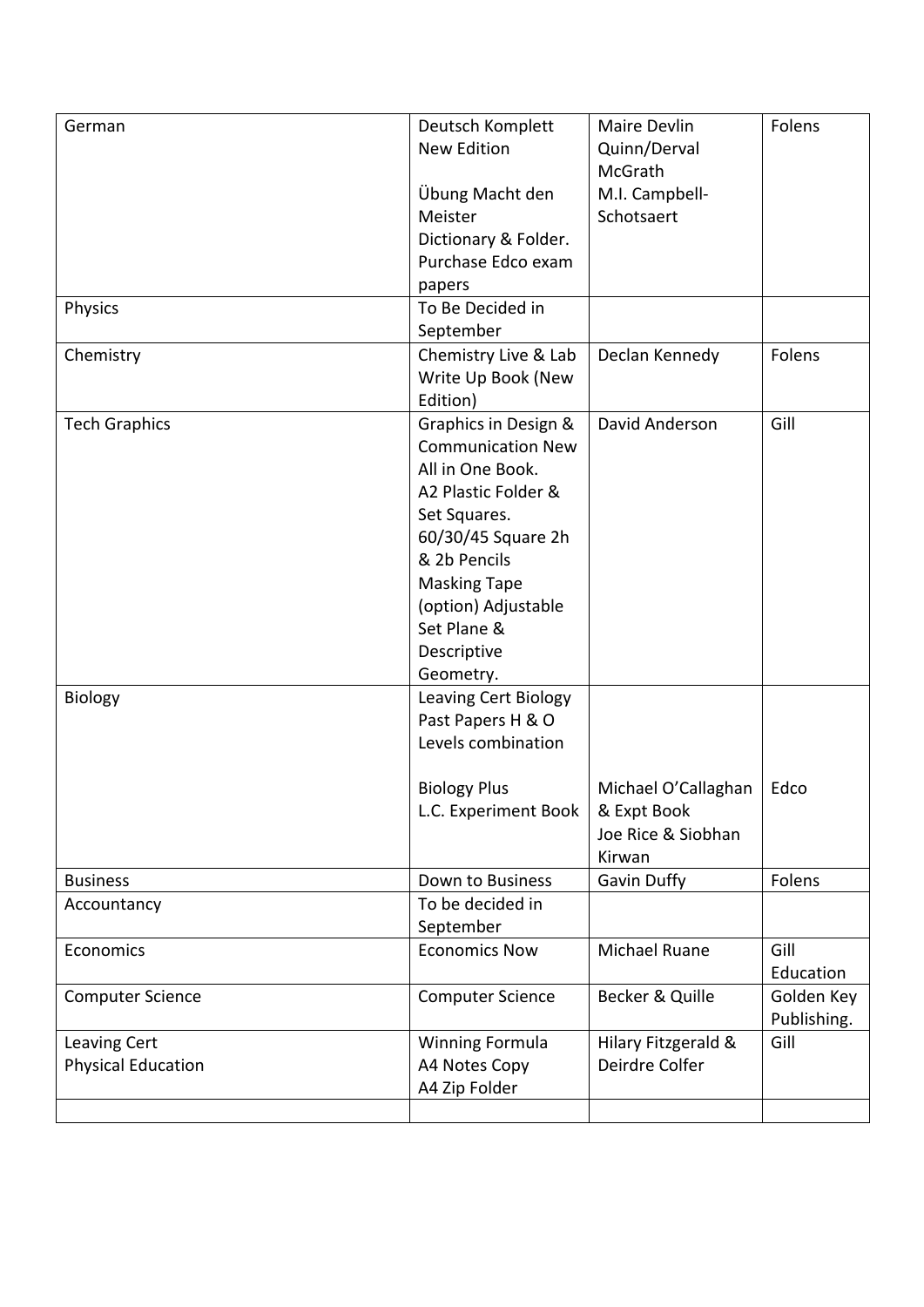| German                    | Deutsch Komplett<br><b>New Edition</b> | Maire Devlin<br>Quinn/Derval<br>McGrath | Folens      |
|---------------------------|----------------------------------------|-----------------------------------------|-------------|
|                           | Übung Macht den                        | M.I. Campbell-                          |             |
|                           | Meister                                | Schotsaert                              |             |
|                           | Dictionary & Folder.                   |                                         |             |
|                           | Purchase Edco exam                     |                                         |             |
|                           | papers                                 |                                         |             |
| Physics                   | To Be Decided in                       |                                         |             |
|                           | September                              |                                         | Folens      |
| Chemistry                 | Chemistry Live & Lab                   | Declan Kennedy                          |             |
|                           | Write Up Book (New<br>Edition)         |                                         |             |
| <b>Tech Graphics</b>      | Graphics in Design &                   | David Anderson                          | Gill        |
|                           | <b>Communication New</b>               |                                         |             |
|                           | All in One Book.                       |                                         |             |
|                           | A2 Plastic Folder &                    |                                         |             |
|                           | Set Squares.                           |                                         |             |
|                           | 60/30/45 Square 2h                     |                                         |             |
|                           | & 2b Pencils                           |                                         |             |
|                           | <b>Masking Tape</b>                    |                                         |             |
|                           | (option) Adjustable                    |                                         |             |
|                           | Set Plane &                            |                                         |             |
|                           | Descriptive                            |                                         |             |
|                           | Geometry.                              |                                         |             |
| Biology                   | Leaving Cert Biology                   |                                         |             |
|                           | Past Papers H & O                      |                                         |             |
|                           | Levels combination                     |                                         |             |
|                           |                                        |                                         |             |
|                           | <b>Biology Plus</b>                    | Michael O'Callaghan                     | Edco        |
|                           | L.C. Experiment Book                   | & Expt Book<br>Joe Rice & Siobhan       |             |
|                           |                                        | Kirwan                                  |             |
| <b>Business</b>           | Down to Business                       | Gavin Duffy                             | Folens      |
| Accountancy               | To be decided in                       |                                         |             |
|                           | September                              |                                         |             |
| Economics                 | <b>Economics Now</b>                   | Michael Ruane                           | Gill        |
|                           |                                        |                                         | Education   |
| <b>Computer Science</b>   | <b>Computer Science</b>                | Becker & Quille                         | Golden Key  |
|                           |                                        |                                         | Publishing. |
| Leaving Cert              | <b>Winning Formula</b>                 | Hilary Fitzgerald &                     | Gill        |
| <b>Physical Education</b> | A4 Notes Copy                          | Deirdre Colfer                          |             |
|                           | A4 Zip Folder                          |                                         |             |
|                           |                                        |                                         |             |